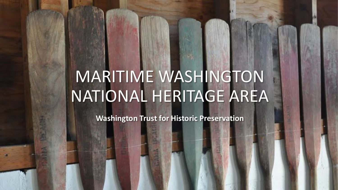# MARITIME WASHINGTON NATIONAL HERITAGE AREA

**Washington Trust for Historic Preservation**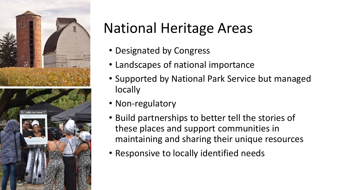

### National Heritage Areas

- Designated by Congress
- Landscapes of national importance
- Supported by National Park Service but managed locally
- Non-regulatory
- Build partnerships to better tell the stories of these places and support communities in maintaining and sharing their unique resources
- Responsive to locally identified needs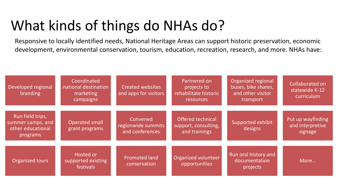### What kinds of things do NHAs do?

Responsive to locally identified needs, National Heritage Areas can support historic preservation, economic development, environmental conservation, tourism, education, recreation, research, and more. NHAs have:

| Developed regional<br>branding                                         | Coordinated<br>national destination<br>marketing<br>campaigns | <b>Created websites</b><br>and apps for visitors  | Partnered on<br>projects to<br>rehabilitate historic<br>resources | Organized regional<br>buses, bike shares,<br>and other visitor<br>transport | <b>Collaborated on</b><br>statewide K-12<br>curriculum |
|------------------------------------------------------------------------|---------------------------------------------------------------|---------------------------------------------------|-------------------------------------------------------------------|-----------------------------------------------------------------------------|--------------------------------------------------------|
| Run field trips,<br>summer camps, and<br>other educational<br>programs | <b>Operated small</b><br>grant programs                       | Convened<br>regionwide summits<br>and conferences | <b>Offered technical</b><br>support, consulting,<br>and trainings | Supported exhibit<br>designs                                                | Put up wayfinding<br>and interpretive<br>signage       |
| Organized tours                                                        | Hosted or<br>supported existing<br><b>festivals</b>           | <b>Promoted land</b><br>conservation              | Organized volunteer<br>opportunities                              | Run oral history and<br>documentation<br>projects                           | More                                                   |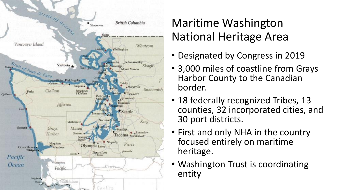

#### Maritime Washington National Heritage Area

- Designated by Congress in 2019
- 3,000 miles of coastline from Grays Harbor County to the Canadian border.
- 18 federally recognized Tribes, 13 counties, 32 incorporated cities, and 30 port districts.
- First and only NHA in the country focused entirely on maritime heritage.
- Washington Trust is coordinating entity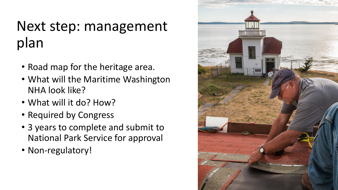### Next step: management plan

- Road map for the heritage area.
- What will the Maritime Washington NHA look like?
- What will it do? How?
- Required by Congress
- 3 years to complete and submit to National Park Service for approval
- Non-regulatory!

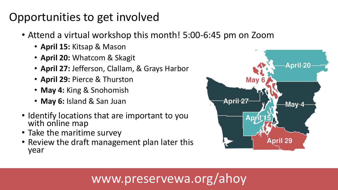#### Opportunities to get involved

- Attend a virtual workshop this month! 5:00-6:45 pm on Zoom
	- **April 15:** Kitsap & Mason
	- **April 20:** Whatcom & Skagit
	- **April 27:** Jefferson, Clallam, & Grays Harbor
	- **April 29:** Pierce & Thurston
	- **May 4:** King & Snohomish
	- **May 6:** Island & San Juan
- Identify locations that are important to you with online map
- Take the maritime survey
- Review the draft management plan later this year



#### www.preservewa.org/ahoy